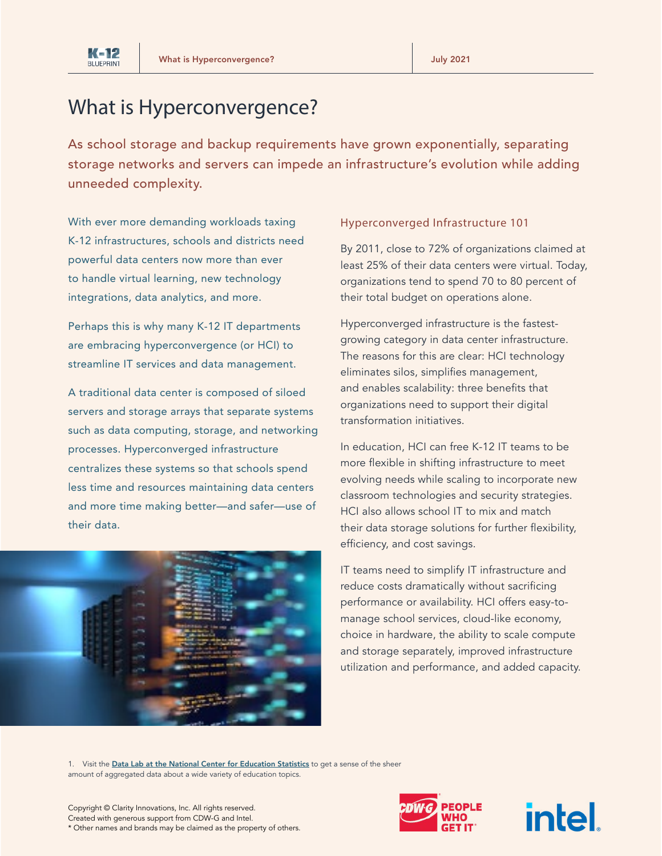

# What is Hyperconvergence?

As school storage and backup requirements have grown exponentially, separating storage networks and servers can impede an infrastructure's evolution while adding unneeded complexity.

With ever more demanding workloads taxing K-12 infrastructures, schools and districts need powerful data centers now more than ever to handle virtual learning, new technology integrations, data analytics, and more.

Perhaps this is why many K-12 IT departments are embracing hyperconvergence (or HCI) to streamline IT services and data management.

A traditional data center is composed of siloed servers and storage arrays that separate systems such as data computing, storage, and networking processes. Hyperconverged infrastructure centralizes these systems so that schools spend less time and resources maintaining data centers and more time making better—and safer—use of their data.



#### Hyperconverged Infrastructure 101

By 2011, close to 72% of organizations claimed at least 25% of their data centers were virtual. Today, organizations tend to spend 70 to 80 percent of their total budget on operations alone.

Hyperconverged infrastructure is the fastestgrowing category in data center infrastructure. The reasons for this are clear: HCI technology eliminates silos, simplifies management, and enables scalability: three benefits that organizations need to support their digital transformation initiatives.

In education, HCI can free K-12 IT teams to be more flexible in shifting infrastructure to meet evolving needs while scaling to incorporate new classroom technologies and security strategies. HCI also allows school IT to mix and match their data storage solutions for further flexibility, efficiency, and cost savings.

IT teams need to simplify IT infrastructure and reduce costs dramatically without sacrificing performance or availability. HCI offers easy-tomanage school services, cloud-like economy, choice in hardware, the ability to scale compute and storage separately, improved infrastructure utilization and performance, and added capacity.

1. Visit the [Data Lab at the National Center for Education Statistics](https://nces.ed.gov/datalab/index.aspx) to get a sense of the sheer amount of aggregated data about a wide variety of education topics.



intel